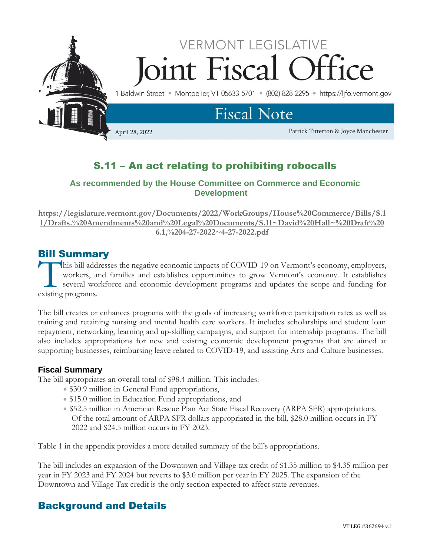

# S.11 – An act relating to prohibiting robocalls

## **As recommended by the House Committee on Commerce and Economic Development**

**[https://legislature.vermont.gov/Documents/2022/WorkGroups/House%20Commerce/Bills/S.1](https://legislature.vermont.gov/Documents/2022/WorkGroups/House%20Commerce/Bills/S.11/Drafts.%20Amendments%20and%20Legal%20Documents/S.11~David%20Hall~%20Draft%206.1,%204-27-2022~4-27-2022.pdf) [1/Drafts.%20Amendments%20and%20Legal%20Documents/S.11~David%20Hall~%20Draft%20](https://legislature.vermont.gov/Documents/2022/WorkGroups/House%20Commerce/Bills/S.11/Drafts.%20Amendments%20and%20Legal%20Documents/S.11~David%20Hall~%20Draft%206.1,%204-27-2022~4-27-2022.pdf) [6.1,%204-27-2022~4-27-2022.pdf](https://legislature.vermont.gov/Documents/2022/WorkGroups/House%20Commerce/Bills/S.11/Drafts.%20Amendments%20and%20Legal%20Documents/S.11~David%20Hall~%20Draft%206.1,%204-27-2022~4-27-2022.pdf)**

# Bill Summary

his bill addresses the negative economic impacts of COVID-19 on Vermont's economy, employers, workers, and families and establishes opportunities to grow Vermont's economy. It establishes several workforce and economic development programs and updates the scope and funding for this bill add workers, and workers are existing programs.

The bill creates or enhances programs with the goals of increasing workforce participation rates as well as training and retaining nursing and mental health care workers. It includes scholarships and student loan repayment, networking, learning and up-skilling campaigns, and support for internship programs. The bill also includes appropriations for new and existing economic development programs that are aimed at supporting businesses, reimbursing leave related to COVID-19, and assisting Arts and Culture businesses.

## **Fiscal Summary**

The bill appropriates an overall total of \$98.4 million. This includes:

- \$30.9 million in General Fund appropriations,
- \$15.0 million in Education Fund appropriations, and
- \$52.5 million in American Rescue Plan Act State Fiscal Recovery (ARPA SFR) appropriations. Of the total amount of ARPA SFR dollars appropriated in the bill, \$28.0 million occurs in FY 2022 and \$24.5 million occurs in FY 2023.

Table 1 in the appendix provides a more detailed summary of the bill's appropriations.

The bill includes an expansion of the Downtown and Village tax credit of \$1.35 million to \$4.35 million per year in FY 2023 and FY 2024 but reverts to \$3.0 million per year in FY 2025. The expansion of the Downtown and Village Tax credit is the only section expected to affect state revenues.

# Background and Details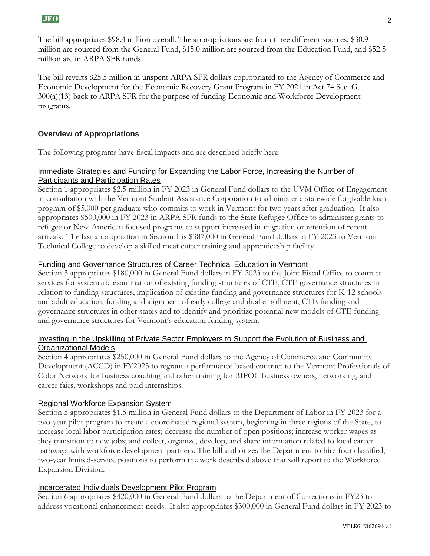The bill appropriates \$98.4 million overall. The appropriations are from three different sources. \$30.9 million are sourced from the General Fund, \$15.0 million are sourced from the Education Fund, and \$52.5 million are in ARPA SFR funds.

The bill reverts \$25.5 million in unspent ARPA SFR dollars appropriated to the Agency of Commerce and Economic Development for the Economic Recovery Grant Program in FY 2021 in Act 74 Sec. G. 300(a)(13) back to ARPA SFR for the purpose of funding Economic and Workforce Development programs.

## **Overview of Appropriations**

The following programs have fiscal impacts and are described briefly here:

#### Immediate Strategies and Funding for Expanding the Labor Force, Increasing the Number of Participants and Participation Rates

Section 1 appropriates \$2.5 million in FY 2023 in General Fund dollars to the UVM Office of Engagement in consultation with the Vermont Student Assistance Corporation to administer a statewide forgivable loan program of \$5,000 per graduate who commits to work in Vermont for two years after graduation. It also appropriates \$500,000 in FY 2023 in ARPA SFR funds to the State Refugee Office to administer grants to refugee or New-American focused programs to support increased in-migration or retention of recent arrivals. The last appropriation in Section 1 is \$387,000 in General Fund dollars in FY 2023 to Vermont Technical College to develop a skilled meat cutter training and apprenticeship facility.

#### Funding and Governance Structures of Career Technical Education in Vermont

Section 3 appropriates \$180,000 in General Fund dollars in FY 2023 to the Joint Fiscal Office to contract services for systematic examination of existing funding structures of CTE, CTE governance structures in relation to funding structures, implication of existing funding and governance structures for K-12 schools and adult education, funding and alignment of early college and dual enrollment, CTE funding and governance structures in other states and to identify and prioritize potential new models of CTE funding and governance structures for Vermont's education funding system.

#### Investing in the Upskilling of Private Sector Employers to Support the Evolution of Business and Organizational Models

Section 4 appropriates \$250,000 in General Fund dollars to the Agency of Commerce and Community Development (ACCD) in FY2023 to regrant a performance-based contract to the Vermont Professionals of Color Network for business coaching and other training for BIPOC business owners, networking, and career fairs, workshops and paid internships.

#### Regional Workforce Expansion System

Section 5 appropriates \$1.5 million in General Fund dollars to the Department of Labor in FY 2023 for a two-year pilot program to create a coordinated regional system, beginning in three regions of the State, to increase local labor participation rates; decrease the number of open positions; increase worker wages as they transition to new jobs; and collect, organize, develop, and share information related to local career pathways with workforce development partners. The bill authorizes the Department to hire four classified, two-year limited-service positions to perform the work described above that will report to the Workforce Expansion Division.

#### Incarcerated Individuals Development Pilot Program

Section 6 appropriates \$420,000 in General Fund dollars to the Department of Corrections in FY23 to address vocational enhancement needs. It also appropriates \$300,000 in General Fund dollars in FY 2023 to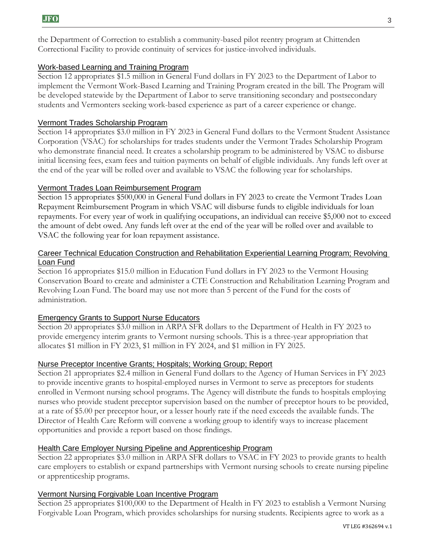the Department of Correction to establish a community-based pilot reentry program at Chittenden Correctional Facility to provide continuity of services for justice-involved individuals.

### Work-based Learning and Training Program

Section 12 appropriates \$1.5 million in General Fund dollars in FY 2023 to the Department of Labor to implement the Vermont Work-Based Learning and Training Program created in the bill. The Program will be developed statewide by the Department of Labor to serve transitioning secondary and postsecondary students and Vermonters seeking work-based experience as part of a career experience or change.

### Vermont Trades Scholarship Program

Section 14 appropriates \$3.0 million in FY 2023 in General Fund dollars to the Vermont Student Assistance Corporation (VSAC) for scholarships for trades students under the Vermont Trades Scholarship Program who demonstrate financial need. It creates a scholarship program to be administered by VSAC to disburse initial licensing fees, exam fees and tuition payments on behalf of eligible individuals. Any funds left over at the end of the year will be rolled over and available to VSAC the following year for scholarships.

## Vermont Trades Loan Reimbursement Program

Section 15 appropriates \$500,000 in General Fund dollars in FY 2023 to create the Vermont Trades Loan Repayment Reimbursement Program in which VSAC will disburse funds to eligible individuals for loan repayments. For every year of work in qualifying occupations, an individual can receive \$5,000 not to exceed the amount of debt owed. Any funds left over at the end of the year will be rolled over and available to VSAC the following year for loan repayment assistance.

#### Career Technical Education Construction and Rehabilitation Experiential Learning Program; Revolving Loan Fund

Section 16 appropriates \$15.0 million in Education Fund dollars in FY 2023 to the Vermont Housing Conservation Board to create and administer a CTE Construction and Rehabilitation Learning Program and Revolving Loan Fund. The board may use not more than 5 percent of the Fund for the costs of administration.

## Emergency Grants to Support Nurse Educators

Section 20 appropriates \$3.0 million in ARPA SFR dollars to the Department of Health in FY 2023 to provide emergency interim grants to Vermont nursing schools. This is a three-year appropriation that allocates \$1 million in FY 2023, \$1 million in FY 2024, and \$1 million in FY 2025.

#### Nurse Preceptor Incentive Grants; Hospitals; Working Group; Report

Section 21 appropriates \$2.4 million in General Fund dollars to the Agency of Human Services in FY 2023 to provide incentive grants to hospital-employed nurses in Vermont to serve as preceptors for students enrolled in Vermont nursing school programs. The Agency will distribute the funds to hospitals employing nurses who provide student preceptor supervision based on the number of preceptor hours to be provided, at a rate of \$5.00 per preceptor hour, or a lesser hourly rate if the need exceeds the available funds. The Director of Health Care Reform will convene a working group to identify ways to increase placement opportunities and provide a report based on those findings.

#### Health Care Employer Nursing Pipeline and Apprenticeship Program

Section 22 appropriates \$3.0 million in ARPA SFR dollars to VSAC in FY 2023 to provide grants to health care employers to establish or expand partnerships with Vermont nursing schools to create nursing pipeline or apprenticeship programs.

#### Vermont Nursing Forgivable Loan Incentive Program

Section 25 appropriates \$100,000 to the Department of Health in FY 2023 to establish a Vermont Nursing Forgivable Loan Program, which provides scholarships for nursing students. Recipients agree to work as a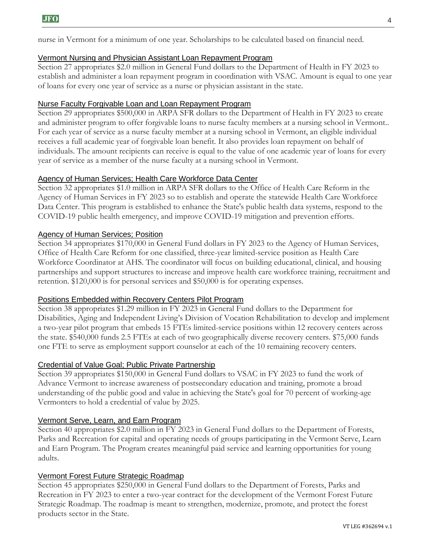nurse in Vermont for a minimum of one year. Scholarships to be calculated based on financial need.

## Vermont Nursing and Physician Assistant Loan Repayment Program

Section 27 appropriates \$2.0 million in General Fund dollars to the Department of Health in FY 2023 to establish and administer a loan repayment program in coordination with VSAC. Amount is equal to one year of loans for every one year of service as a nurse or physician assistant in the state.

## Nurse Faculty Forgivable Loan and Loan Repayment Program

Section 29 appropriates \$500,000 in ARPA SFR dollars to the Department of Health in FY 2023 to create and administer program to offer forgivable loans to nurse faculty members at a nursing school in Vermont.. For each year of service as a nurse faculty member at a nursing school in Vermont, an eligible individual receives a full academic year of forgivable loan benefit. It also provides loan repayment on behalf of individuals. The amount recipients can receive is equal to the value of one academic year of loans for every year of service as a member of the nurse faculty at a nursing school in Vermont.

#### Agency of Human Services; Health Care Workforce Data Center

Section 32 appropriates \$1.0 million in ARPA SFR dollars to the Office of Health Care Reform in the Agency of Human Services in FY 2023 so to establish and operate the statewide Health Care Workforce Data Center. This program is established to enhance the State's public health data systems, respond to the COVID-19 public health emergency, and improve COVID-19 mitigation and prevention efforts.

## Agency of Human Services; Position

Section 34 appropriates \$170,000 in General Fund dollars in FY 2023 to the Agency of Human Services, Office of Health Care Reform for one classified, three-year limited-service position as Health Care Workforce Coordinator at AHS. The coordinator will focus on building educational, clinical, and housing partnerships and support structures to increase and improve health care workforce training, recruitment and retention. \$120,000 is for personal services and \$50,000 is for operating expenses.

#### Positions Embedded within Recovery Centers Pilot Program

Section 38 appropriates \$1.29 million in FY 2023 in General Fund dollars to the Department for Disabilities, Aging and Independent Living's Division of Vocation Rehabilitation to develop and implement a two-year pilot program that embeds 15 FTEs limited-service positions within 12 recovery centers across the state. \$540,000 funds 2.5 FTEs at each of two geographically diverse recovery centers. \$75,000 funds one FTE to serve as employment support counselor at each of the 10 remaining recovery centers.

#### Credential of Value Goal; Public Private Partnership

Section 39 appropriates \$150,000 in General Fund dollars to VSAC in FY 2023 to fund the work of Advance Vermont to increase awareness of postsecondary education and training, promote a broad understanding of the public good and value in achieving the State's goal for 70 percent of working-age Vermonters to hold a credential of value by 2025.

#### Vermont Serve, Learn, and Earn Program

Section 40 appropriates \$2.0 million in FY 2023 in General Fund dollars to the Department of Forests, Parks and Recreation for capital and operating needs of groups participating in the Vermont Serve, Learn and Earn Program. The Program creates meaningful paid service and learning opportunities for young adults.

#### Vermont Forest Future Strategic Roadmap

Section 45 appropriates \$250,000 in General Fund dollars to the Department of Forests, Parks and Recreation in FY 2023 to enter a two-year contract for the development of the Vermont Forest Future Strategic Roadmap. The roadmap is meant to strengthen, modernize, promote, and protect the forest products sector in the State.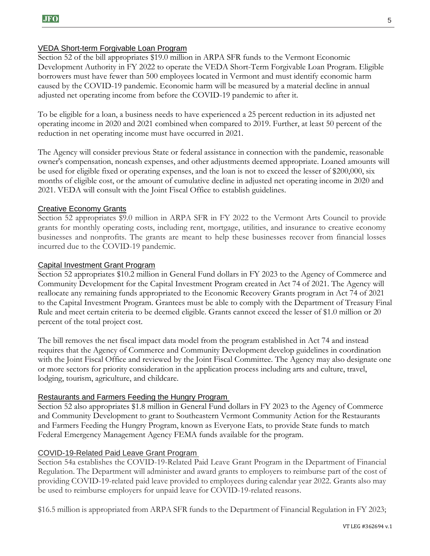### VEDA Short-term Forgivable Loan Program

Section 52 of the bill appropriates \$19.0 million in ARPA SFR funds to the Vermont Economic Development Authority in FY 2022 to operate the VEDA Short-Term Forgivable Loan Program. Eligible borrowers must have fewer than 500 employees located in Vermont and must identify economic harm caused by the COVID-19 pandemic. Economic harm will be measured by a material decline in annual adjusted net operating income from before the COVID-19 pandemic to after it.

To be eligible for a loan, a business needs to have experienced a 25 percent reduction in its adjusted net operating income in 2020 and 2021 combined when compared to 2019. Further, at least 50 percent of the reduction in net operating income must have occurred in 2021.

The Agency will consider previous State or federal assistance in connection with the pandemic, reasonable owner's compensation, noncash expenses, and other adjustments deemed appropriate. Loaned amounts will be used for eligible fixed or operating expenses, and the loan is not to exceed the lesser of \$200,000, six months of eligible cost, or the amount of cumulative decline in adjusted net operating income in 2020 and 2021. VEDA will consult with the Joint Fiscal Office to establish guidelines.

#### Creative Economy Grants

Section 52 appropriates \$9.0 million in ARPA SFR in FY 2022 to the Vermont Arts Council to provide grants for monthly operating costs, including rent, mortgage, utilities, and insurance to creative economy businesses and nonprofits. The grants are meant to help these businesses recover from financial losses incurred due to the COVID-19 pandemic.

#### Capital Investment Grant Program

Section 52 appropriates \$10.2 million in General Fund dollars in FY 2023 to the Agency of Commerce and Community Development for the Capital Investment Program created in Act 74 of 2021. The Agency will reallocate any remaining funds appropriated to the Economic Recovery Grants program in Act 74 of 2021 to the Capital Investment Program. Grantees must be able to comply with the Department of Treasury Final Rule and meet certain criteria to be deemed eligible. Grants cannot exceed the lesser of \$1.0 million or 20 percent of the total project cost.

The bill removes the net fiscal impact data model from the program established in Act 74 and instead requires that the Agency of Commerce and Community Development develop guidelines in coordination with the Joint Fiscal Office and reviewed by the Joint Fiscal Committee. The Agency may also designate one or more sectors for priority consideration in the application process including arts and culture, travel, lodging, tourism, agriculture, and childcare.

#### Restaurants and Farmers Feeding the Hungry Program

Section 52 also appropriates \$1.8 million in General Fund dollars in FY 2023 to the Agency of Commerce and Community Development to grant to Southeastern Vermont Community Action for the Restaurants and Farmers Feeding the Hungry Program, known as Everyone Eats, to provide State funds to match Federal Emergency Management Agency FEMA funds available for the program.

#### COVID-19-Related Paid Leave Grant Program

Section 54a establishes the COVID-19-Related Paid Leave Grant Program in the Department of Financial Regulation. The Department will administer and award grants to employers to reimburse part of the cost of providing COVID-19-related paid leave provided to employees during calendar year 2022. Grants also may be used to reimburse employers for unpaid leave for COVID-19-related reasons.

\$16.5 million is appropriated from ARPA SFR funds to the Department of Financial Regulation in FY 2023;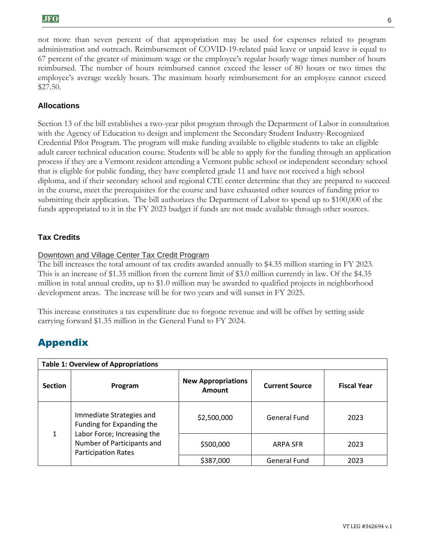not more than seven percent of that appropriation may be used for expenses related to program administration and outreach. Reimbursement of COVID-19-related paid leave or unpaid leave is equal to 67 percent of the greater of minimum wage or the employee's regular hourly wage times number of hours reimbursed. The number of hours reimbursed cannot exceed the lesser of 80 hours or two times the employee's average weekly hours. The maximum hourly reimbursement for an employee cannot exceed \$27.50.

## **Allocations**

Section 13 of the bill establishes a two-year pilot program through the Department of Labor in consultation with the Agency of Education to design and implement the Secondary Student Industry-Recognized Credential Pilot Program. The program will make funding available to eligible students to take an eligible adult career technical education course. Students will be able to apply for the funding through an application process if they are a Vermont resident attending a Vermont public school or independent secondary school that is eligible for public funding, they have completed grade 11 and have not received a high school diploma, and if their secondary school and regional CTE center determine that they are prepared to succeed in the course, meet the prerequisites for the course and have exhausted other sources of funding prior to submitting their application. The bill authorizes the Department of Labor to spend up to \$100,000 of the funds appropriated to it in the FY 2023 budget if funds are not made available through other sources.

## **Tax Credits**

#### Downtown and Village Center Tax Credit Program

The bill increases the total amount of tax credits awarded annually to \$4.35 million starting in FY 2023. This is an increase of \$1.35 million from the current limit of \$3.0 million currently in law. Of the \$4.35 million in total annual credits, up to \$1.0 million may be awarded to qualified projects in neighborhood development areas. The increase will be for two years and will sunset in FY 2025.

This increase constitutes a tax expenditure due to forgone revenue and will be offset by setting aside carrying forward \$1.35 million in the General Fund to FY 2024.

# Appendix

| <b>Table 1: Overview of Appropriations</b> |                                                                                                                                                  |                                            |                       |                    |  |  |  |
|--------------------------------------------|--------------------------------------------------------------------------------------------------------------------------------------------------|--------------------------------------------|-----------------------|--------------------|--|--|--|
| <b>Section</b>                             | Program                                                                                                                                          | <b>New Appropriations</b><br><b>Amount</b> | <b>Current Source</b> | <b>Fiscal Year</b> |  |  |  |
| 1                                          | Immediate Strategies and<br>Funding for Expanding the<br>Labor Force; Increasing the<br>Number of Participants and<br><b>Participation Rates</b> | \$2,500,000                                | General Fund          | 2023               |  |  |  |
|                                            |                                                                                                                                                  | \$500,000                                  | <b>ARPA SFR</b>       | 2023               |  |  |  |
|                                            |                                                                                                                                                  | \$387,000                                  | <b>General Fund</b>   | 2023               |  |  |  |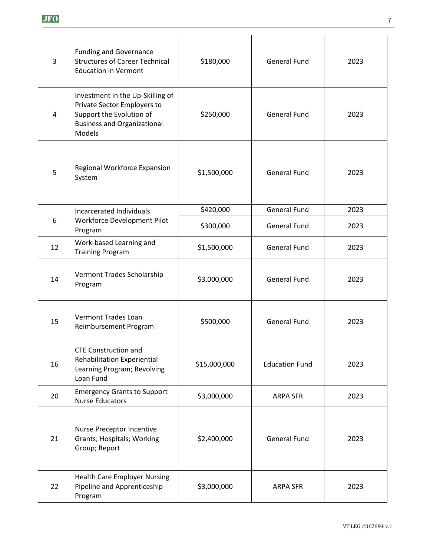| 3  | <b>Funding and Governance</b><br><b>Structures of Career Technical</b><br><b>Education in Vermont</b>                                              | \$180,000    | <b>General Fund</b>   | 2023 |
|----|----------------------------------------------------------------------------------------------------------------------------------------------------|--------------|-----------------------|------|
| 4  | Investment in the Up-Skilling of<br>Private Sector Employers to<br>Support the Evolution of<br><b>Business and Organizational</b><br><b>Models</b> | \$250,000    | <b>General Fund</b>   | 2023 |
| 5  | Regional Workforce Expansion<br>System                                                                                                             | \$1,500,000  | <b>General Fund</b>   | 2023 |
|    | Incarcerated Individuals<br>Workforce Development Pilot<br>Program                                                                                 | \$420,000    | <b>General Fund</b>   | 2023 |
| 6  |                                                                                                                                                    | \$300,000    | <b>General Fund</b>   | 2023 |
| 12 | Work-based Learning and<br><b>Training Program</b>                                                                                                 | \$1,500,000  | <b>General Fund</b>   | 2023 |
| 14 | Vermont Trades Scholarship<br>Program                                                                                                              | \$3,000,000  | <b>General Fund</b>   | 2023 |
| 15 | Vermont Trades Loan<br>Reimbursement Program                                                                                                       | \$500,000    | <b>General Fund</b>   | 2023 |
| 16 | <b>CTE Construction and</b><br>Rehabilitation Experiential<br>Learning Program; Revolving<br>Loan Fund                                             | \$15,000,000 | <b>Education Fund</b> | 2023 |
| 20 | <b>Emergency Grants to Support</b><br><b>Nurse Educators</b>                                                                                       | \$3,000,000  | <b>ARPA SFR</b>       | 2023 |
| 21 | Nurse Preceptor Incentive<br>Grants; Hospitals; Working<br>Group; Report                                                                           | \$2,400,000  | <b>General Fund</b>   | 2023 |
| 22 | <b>Health Care Employer Nursing</b><br>Pipeline and Apprenticeship<br>Program                                                                      | \$3,000,000  | <b>ARPA SFR</b>       | 2023 |